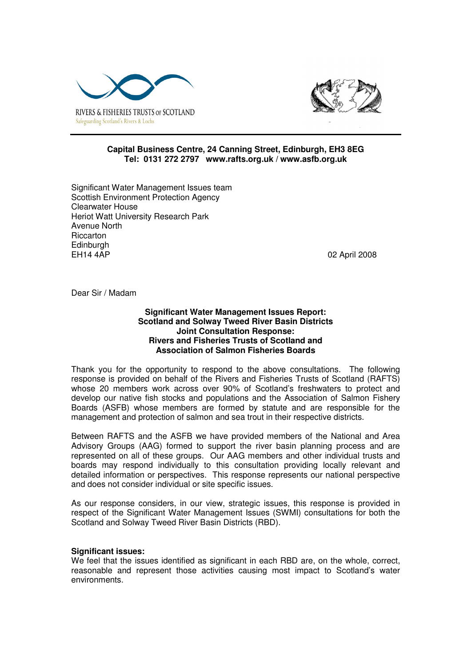



# **Capital Business Centre, 24 Canning Street, Edinburgh, EH3 8EG Tel: 0131 272 2797 www.rafts.org.uk / www.asfb.org.uk**

Significant Water Management Issues team Scottish Environment Protection Agency Clearwater House Heriot Watt University Research Park Avenue North Riccarton **Edinburgh** EH14 4AP 02 April 2008

Dear Sir / Madam

# **Significant Water Management Issues Report: Scotland and Solway Tweed River Basin Districts Joint Consultation Response: Rivers and Fisheries Trusts of Scotland and Association of Salmon Fisheries Boards**

Thank you for the opportunity to respond to the above consultations. The following response is provided on behalf of the Rivers and Fisheries Trusts of Scotland (RAFTS) whose 20 members work across over 90% of Scotland's freshwaters to protect and develop our native fish stocks and populations and the Association of Salmon Fishery Boards (ASFB) whose members are formed by statute and are responsible for the management and protection of salmon and sea trout in their respective districts.

Between RAFTS and the ASFB we have provided members of the National and Area Advisory Groups (AAG) formed to support the river basin planning process and are represented on all of these groups. Our AAG members and other individual trusts and boards may respond individually to this consultation providing locally relevant and detailed information or perspectives. This response represents our national perspective and does not consider individual or site specific issues.

As our response considers, in our view, strategic issues, this response is provided in respect of the Significant Water Management Issues (SWMI) consultations for both the Scotland and Solway Tweed River Basin Districts (RBD).

# **Significant issues:**

We feel that the issues identified as significant in each RBD are, on the whole, correct, reasonable and represent those activities causing most impact to Scotland's water environments.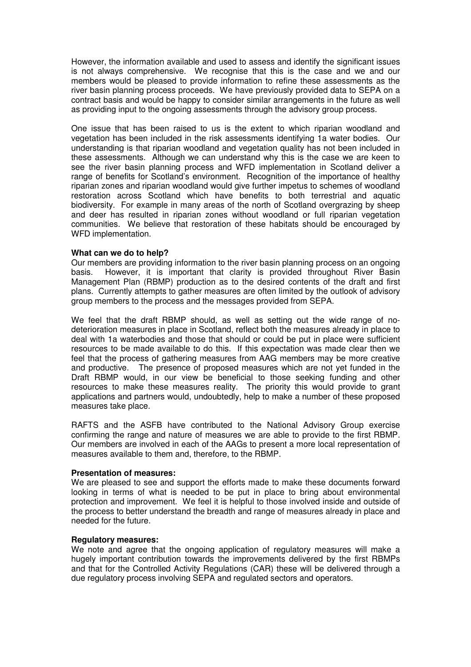However, the information available and used to assess and identify the significant issues is not always comprehensive. We recognise that this is the case and we and our members would be pleased to provide information to refine these assessments as the river basin planning process proceeds. We have previously provided data to SEPA on a contract basis and would be happy to consider similar arrangements in the future as well as providing input to the ongoing assessments through the advisory group process.

One issue that has been raised to us is the extent to which riparian woodland and vegetation has been included in the risk assessments identifying 1a water bodies. Our understanding is that riparian woodland and vegetation quality has not been included in these assessments. Although we can understand why this is the case we are keen to see the river basin planning process and WFD implementation in Scotland deliver a range of benefits for Scotland's environment. Recognition of the importance of healthy riparian zones and riparian woodland would give further impetus to schemes of woodland restoration across Scotland which have benefits to both terrestrial and aquatic biodiversity. For example in many areas of the north of Scotland overgrazing by sheep and deer has resulted in riparian zones without woodland or full riparian vegetation communities. We believe that restoration of these habitats should be encouraged by WFD implementation.

#### **What can we do to help?**

Our members are providing information to the river basin planning process on an ongoing basis. However, it is important that clarity is provided throughout River Basin Management Plan (RBMP) production as to the desired contents of the draft and first plans. Currently attempts to gather measures are often limited by the outlook of advisory group members to the process and the messages provided from SEPA.

We feel that the draft RBMP should, as well as setting out the wide range of nodeterioration measures in place in Scotland, reflect both the measures already in place to deal with 1a waterbodies and those that should or could be put in place were sufficient resources to be made available to do this. If this expectation was made clear then we feel that the process of gathering measures from AAG members may be more creative and productive. The presence of proposed measures which are not yet funded in the Draft RBMP would, in our view be beneficial to those seeking funding and other resources to make these measures reality. The priority this would provide to grant applications and partners would, undoubtedly, help to make a number of these proposed measures take place.

RAFTS and the ASFB have contributed to the National Advisory Group exercise confirming the range and nature of measures we are able to provide to the first RBMP. Our members are involved in each of the AAGs to present a more local representation of measures available to them and, therefore, to the RBMP.

# **Presentation of measures:**

We are pleased to see and support the efforts made to make these documents forward looking in terms of what is needed to be put in place to bring about environmental protection and improvement. We feel it is helpful to those involved inside and outside of the process to better understand the breadth and range of measures already in place and needed for the future.

#### **Regulatory measures:**

We note and agree that the ongoing application of regulatory measures will make a hugely important contribution towards the improvements delivered by the first RBMPs and that for the Controlled Activity Regulations (CAR) these will be delivered through a due regulatory process involving SEPA and regulated sectors and operators.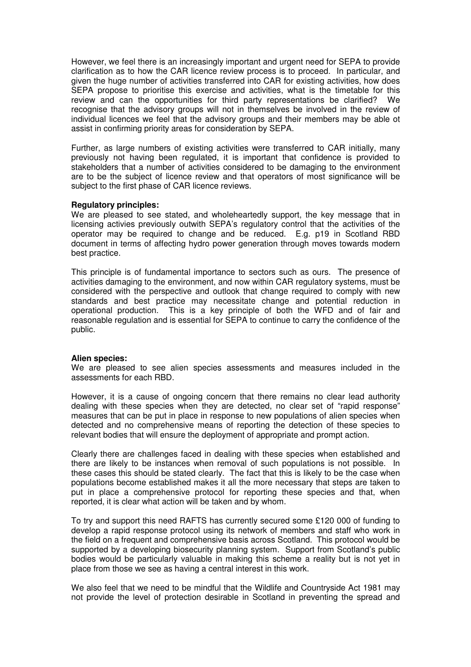However, we feel there is an increasingly important and urgent need for SEPA to provide clarification as to how the CAR licence review process is to proceed. In particular, and given the huge number of activities transferred into CAR for existing activities, how does SEPA propose to prioritise this exercise and activities, what is the timetable for this review and can the opportunities for third party representations be clarified? We recognise that the advisory groups will not in themselves be involved in the review of individual licences we feel that the advisory groups and their members may be able ot assist in confirming priority areas for consideration by SEPA.

Further, as large numbers of existing activities were transferred to CAR initially, many previously not having been regulated, it is important that confidence is provided to stakeholders that a number of activities considered to be damaging to the environment are to be the subject of licence review and that operators of most significance will be subject to the first phase of CAR licence reviews.

# **Regulatory principles:**

We are pleased to see stated, and wholeheartedly support, the key message that in licensing activies previously outwith SEPA's regulatory control that the activities of the operator may be required to change and be reduced. E.g. p19 in Scotland RBD document in terms of affecting hydro power generation through moves towards modern best practice.

This principle is of fundamental importance to sectors such as ours. The presence of activities damaging to the environment, and now within CAR regulatory systems, must be considered with the perspective and outlook that change required to comply with new standards and best practice may necessitate change and potential reduction in operational production. This is a key principle of both the WFD and of fair and reasonable regulation and is essential for SEPA to continue to carry the confidence of the public.

# **Alien species:**

We are pleased to see alien species assessments and measures included in the assessments for each RBD.

However, it is a cause of ongoing concern that there remains no clear lead authority dealing with these species when they are detected, no clear set of "rapid response" measures that can be put in place in response to new populations of alien species when detected and no comprehensive means of reporting the detection of these species to relevant bodies that will ensure the deployment of appropriate and prompt action.

Clearly there are challenges faced in dealing with these species when established and there are likely to be instances when removal of such populations is not possible. In these cases this should be stated clearly. The fact that this is likely to be the case when populations become established makes it all the more necessary that steps are taken to put in place a comprehensive protocol for reporting these species and that, when reported, it is clear what action will be taken and by whom.

To try and support this need RAFTS has currently secured some £120 000 of funding to develop a rapid response protocol using its network of members and staff who work in the field on a frequent and comprehensive basis across Scotland. This protocol would be supported by a developing biosecurity planning system. Support from Scotland's public bodies would be particularly valuable in making this scheme a reality but is not yet in place from those we see as having a central interest in this work.

We also feel that we need to be mindful that the Wildlife and Countryside Act 1981 may not provide the level of protection desirable in Scotland in preventing the spread and